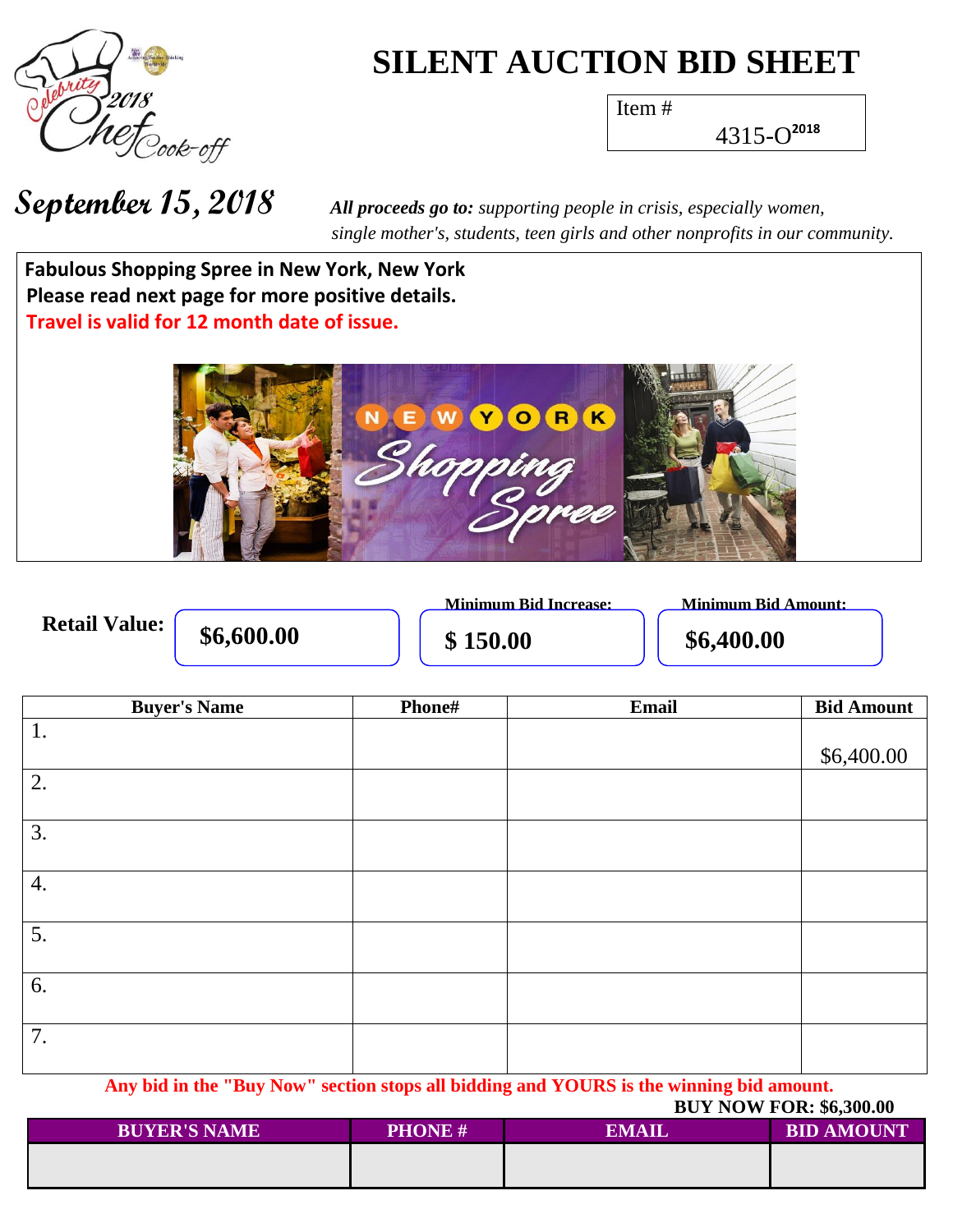

## **SILENT AUCTION BID SHEET**

Item #

4315-O **2018**

**September 15, 2018** *All proceeds go to: supporting people in crisis, especially women, single mother's, students, teen girls and other nonprofits in our community.*

**Wh a t h Fabulous Shopping Spree in New York, New York Please read next page for more positive details. Travel is valid for 12 month date of issue.** 



 **Minimum Bid Increase: Minimum Bid Amount: Retail Value: \$6,600.00 \$6,400.00 \$150.00 \$6,400.00** 

| <b>Buyer's Name</b> | Phone# | Email | <b>Bid Amount</b> |
|---------------------|--------|-------|-------------------|
| 1.                  |        |       |                   |
|                     |        |       | \$6,400.00        |
| 2.                  |        |       |                   |
|                     |        |       |                   |
| 3.                  |        |       |                   |
|                     |        |       |                   |
| 4.                  |        |       |                   |
|                     |        |       |                   |
| 5.                  |        |       |                   |
|                     |        |       |                   |
| 6.                  |        |       |                   |
|                     |        |       |                   |
| 7.                  |        |       |                   |
|                     |        |       |                   |

**Any bid in the "Buy Now" section stops all bidding and YOURS is the winning bid amount. BUY NOW FOR: \$6,300.00**

| <b>BUYER'S NAME</b> | <b>PHONE#</b> | EMAIL | <b>BID AMOUNT</b> |  |
|---------------------|---------------|-------|-------------------|--|
|                     |               |       |                   |  |